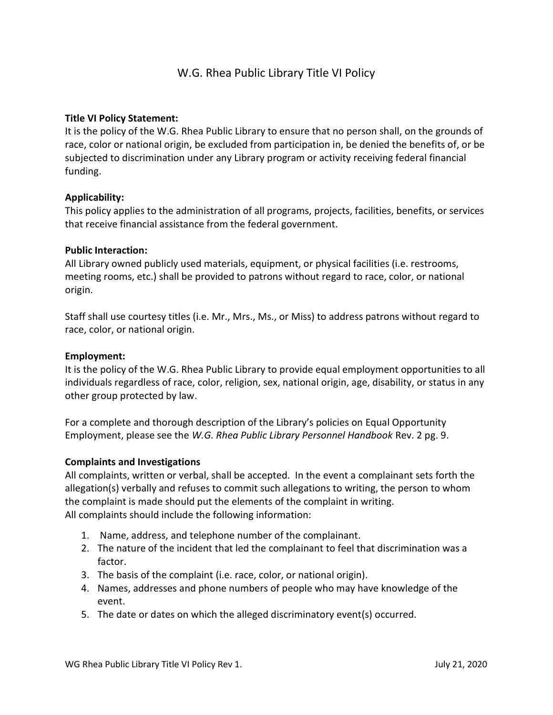# W.G. Rhea Public Library Title VI Policy

# Title VI Policy Statement:

It is the policy of the W.G. Rhea Public Library to ensure that no person shall, on the grounds of race, color or national origin, be excluded from participation in, be denied the benefits of, or be subjected to discrimination under any Library program or activity receiving federal financial funding.

# Applicability:

This policy applies to the administration of all programs, projects, facilities, benefits, or services that receive financial assistance from the federal government.

# Public Interaction:

All Library owned publicly used materials, equipment, or physical facilities (i.e. restrooms, meeting rooms, etc.) shall be provided to patrons without regard to race, color, or national origin.

Staff shall use courtesy titles (i.e. Mr., Mrs., Ms., or Miss) to address patrons without regard to race, color, or national origin.

### Employment:

It is the policy of the W.G. Rhea Public Library to provide equal employment opportunities to all individuals regardless of race, color, religion, sex, national origin, age, disability, or status in any other group protected by law.

For a complete and thorough description of the Library's policies on Equal Opportunity Employment, please see the W.G. Rhea Public Library Personnel Handbook Rev. 2 pg. 9.

### Complaints and Investigations

All complaints, written or verbal, shall be accepted. In the event a complainant sets forth the allegation(s) verbally and refuses to commit such allegations to writing, the person to whom the complaint is made should put the elements of the complaint in writing. All complaints should include the following information:

- 1. Name, address, and telephone number of the complainant.
- 2. The nature of the incident that led the complainant to feel that discrimination was a factor.
- 3. The basis of the complaint (i.e. race, color, or national origin).
- 4. Names, addresses and phone numbers of people who may have knowledge of the event.
- 5. The date or dates on which the alleged discriminatory event(s) occurred.